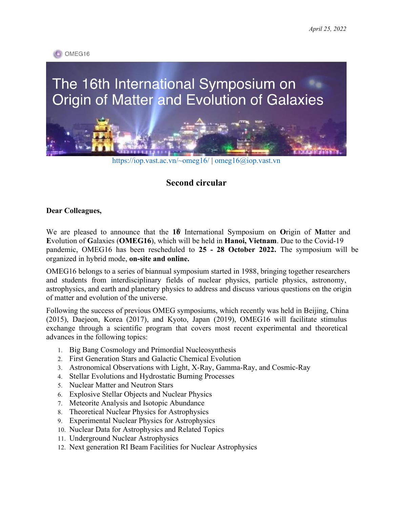

# The 16th International Symposium on Origin of Matter and Evolution of Galaxies



https://iop.vast.ac.vn/~omeg16/ | omeg16@iop.vast.vn

# **Second circular**

# **Dear Colleagues,**

We are pleased to announce that the 1<sup> $\dagger \text{b}$ </sup> International Symposium on Origin of Matter and **E**volution of **G**alaxies (**OMEG16**), which will be held in **Hanoi, Vietnam**. Due to the Covid-19 pandemic, OMEG16 has been rescheduled to **25 - 28 October 2022.** The symposium will be organized in hybrid mode, **on-site and online.** 

OMEG16 belongs to a series of biannual symposium started in 1988, bringing together researchers and students from interdisciplinary fields of nuclear physics, particle physics, astronomy, astrophysics, and earth and planetary physics to address and discuss various questions on the origin of matter and evolution of the universe.

Following the success of previous OMEG symposiums, which recently was held in Beijing, China (2015), Daejeon, Korea (2017), and Kyoto, Japan (2019), OMEG16 will facilitate stimulus exchange through a scientific program that covers most recent experimental and theoretical advances in the following topics:

- 1. Big Bang Cosmology and Primordial Nucleosynthesis
- 2. First Generation Stars and Galactic Chemical Evolution
- 3. Astronomical Observations with Light, X-Ray, Gamma-Ray, and Cosmic-Ray
- 4. Stellar Evolutions and Hydrostatic Burning Processes
- 5. Nuclear Matter and Neutron Stars
- 6. Explosive Stellar Objects and Nuclear Physics
- 7. Meteorite Analysis and Isotopic Abundance
- 8. Theoretical Nuclear Physics for Astrophysics
- 9. Experimental Nuclear Physics for Astrophysics
- 10. Nuclear Data for Astrophysics and Related Topics
- 11. Underground Nuclear Astrophysics
- 12. Next generation RI Beam Facilities for Nuclear Astrophysics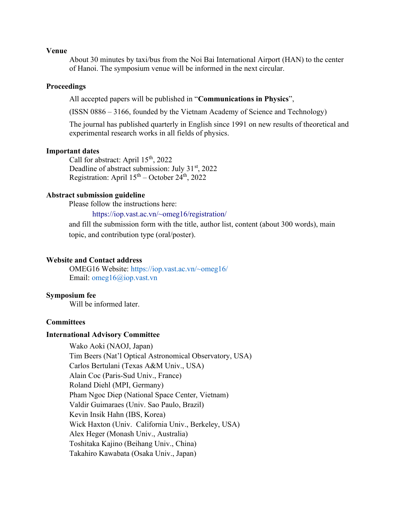# **Venue**

About 30 minutes by taxi/bus from the Noi Bai International Airport (HAN) to the center of Hanoi. The symposium venue will be informed in the next circular.

# **Proceedings**

All accepted papers will be published in "**Communications in Physics**",

(ISSN 0886 – 3166, founded by the Vietnam Academy of Science and Technology)

The journal has published quarterly in English since 1991 on new results of theoretical and experimental research works in all fields of physics.

# **Important dates**

Call for abstract: April  $15<sup>th</sup>$ , 2022 Deadline of abstract submission: July 31<sup>st</sup>, 2022 Registration: April  $15<sup>th</sup>$  – October 24<sup>th</sup>, 2022

# **Abstract submission guideline**

Please follow the instructions here:

# <https://iop.vast.ac.vn/~omeg16/registration/>

and fill the submission form with the title, author list, content (about 300 words), main topic, and contribution type (oral/poster).

# **Website and Contact address**

OMEG16 Website: https://iop.vast.ac.vn/~omeg16/ Email: omeg16@iop.vast.vn

# **Symposium fee**

Will be informed later.

# **Committees**

# **International Advisory Committee**

Wako Aoki (NAOJ, Japan) Tim Beers (Nat'l Optical Astronomical Observatory, USA) Carlos Bertulani (Texas A&M Univ., USA) Alain Coc (Paris-Sud Univ., France) Roland Diehl (MPI, Germany) Pham Ngoc Diep (National Space Center, Vietnam) Valdir Guimaraes (Univ. Sao Paulo, Brazil) Kevin Insik Hahn (IBS, Korea) Wick Haxton (Univ. California Univ., Berkeley, USA) Alex Heger (Monash Univ., Australia) Toshitaka Kajino (Beihang Univ., China) Takahiro Kawabata (Osaka Univ., Japan)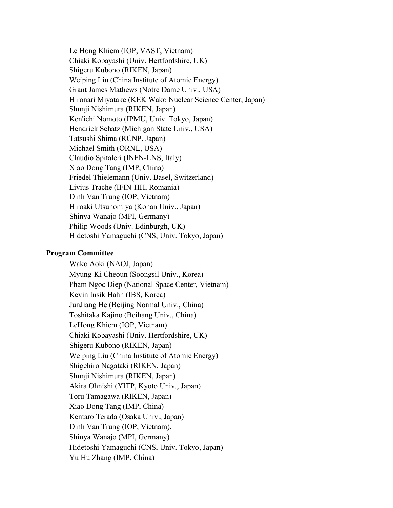Le Hong Khiem (IOP, VAST, Vietnam) Chiaki Kobayashi (Univ. Hertfordshire, UK) Shigeru Kubono (RIKEN, Japan) Weiping Liu (China Institute of Atomic Energy) Grant James Mathews (Notre Dame Univ., USA) Hironari Miyatake (KEK Wako Nuclear Science Center, Japan) Shunji Nishimura (RIKEN, Japan) Ken'ichi Nomoto (IPMU, Univ. Tokyo, Japan) Hendrick Schatz (Michigan State Univ., USA) Tatsushi Shima (RCNP, Japan) Michael Smith (ORNL, USA) Claudio Spitaleri (INFN-LNS, Italy) Xiao Dong Tang (IMP, China) Friedel Thielemann (Univ. Basel, Switzerland) Livius Trache (IFIN-HH, Romania) Dinh Van Trung (IOP, Vietnam) Hiroaki Utsunomiya (Konan Univ., Japan) Shinya Wanajo (MPI, Germany) Philip Woods (Univ. Edinburgh, UK) Hidetoshi Yamaguchi (CNS, Univ. Tokyo, Japan)

# **Program Committee**

Wako Aoki (NAOJ, Japan) Myung-Ki Cheoun (Soongsil Univ., Korea) Pham Ngoc Diep (National Space Center, Vietnam) Kevin Insik Hahn (IBS, Korea) JunJiang He (Beijing Normal Univ., China) Toshitaka Kajino (Beihang Univ., China) LeHong Khiem (IOP, Vietnam) Chiaki Kobayashi (Univ. Hertfordshire, UK) Shigeru Kubono (RIKEN, Japan) Weiping Liu (China Institute of Atomic Energy) Shigehiro Nagataki (RIKEN, Japan) Shunji Nishimura (RIKEN, Japan) Akira Ohnishi (YITP, Kyoto Univ., Japan) Toru Tamagawa (RIKEN, Japan) Xiao Dong Tang (IMP, China) Kentaro Terada (Osaka Univ., Japan) Dinh Van Trung (IOP, Vietnam), Shinya Wanajo (MPI, Germany) Hidetoshi Yamaguchi (CNS, Univ. Tokyo, Japan) Yu Hu Zhang (IMP, China)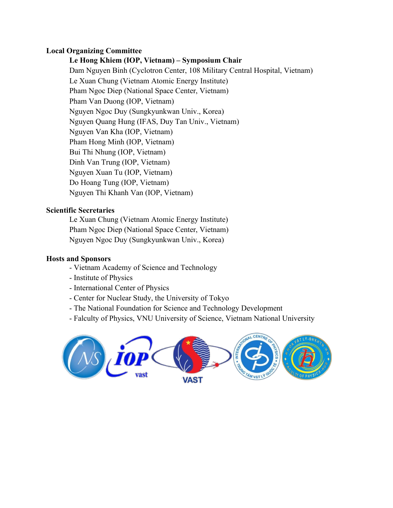# **Local Organizing Committee**

# **Le Hong Khiem (IOP, Vietnam) – Symposium Chair**

Dam Nguyen Binh (Cyclotron Center, 108 Military Central Hospital, Vietnam) Le Xuan Chung (Vietnam Atomic Energy Institute) Pham Ngoc Diep (National Space Center, Vietnam) Pham Van Duong (IOP, Vietnam) Nguyen Ngoc Duy (Sungkyunkwan Univ., Korea) Nguyen Quang Hung (IFAS, Duy Tan Univ., Vietnam) Nguyen Van Kha (IOP, Vietnam) Pham Hong Minh (IOP, Vietnam) Bui Thi Nhung (IOP, Vietnam) Dinh Van Trung (IOP, Vietnam) Nguyen Xuan Tu (IOP, Vietnam) Do Hoang Tung (IOP, Vietnam) Nguyen Thi Khanh Van (IOP, Vietnam)

# **Scientific Secretaries**

Le Xuan Chung (Vietnam Atomic Energy Institute) Pham Ngoc Diep (National Space Center, Vietnam) Nguyen Ngoc Duy (Sungkyunkwan Univ., Korea)

# **Hosts and Sponsors**

- Vietnam Academy of Science and Technology
- Institute of Physics
- International Center of Physics
- Center for Nuclear Study, the University of Tokyo
- The National Foundation for Science and Technology Development
- Falculty of Physics, VNU University of Science, Vietnam National University